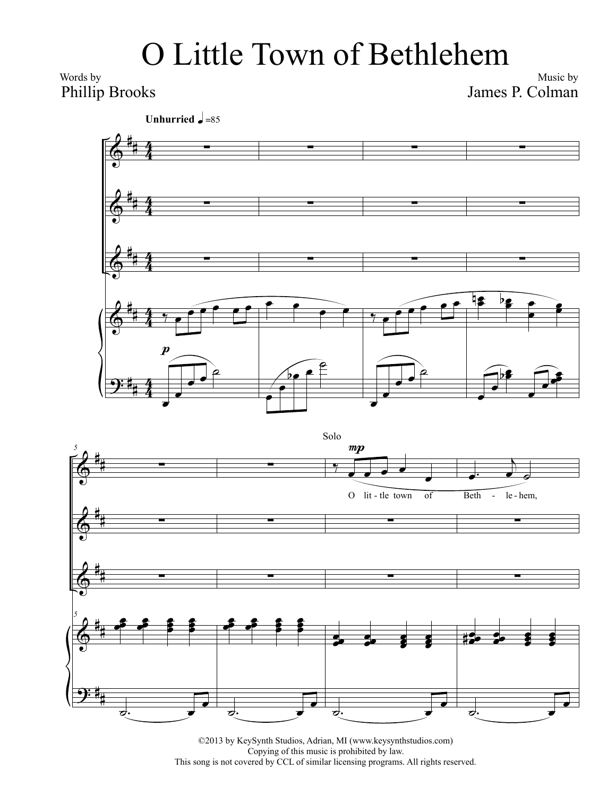## O Little Town of Bethlehem

Words by Phillip Brooks

Music by James P. Colman

**Unhurried**  $\sqrt{\frac{1}{6}}$ =85





©2013 by KeySynth Studios, Adrian, MI (www.keysynthstudios.com) Copying of this music is prohibited by law. This song is not covered by CCL of similar licensing programs. All rights reserved.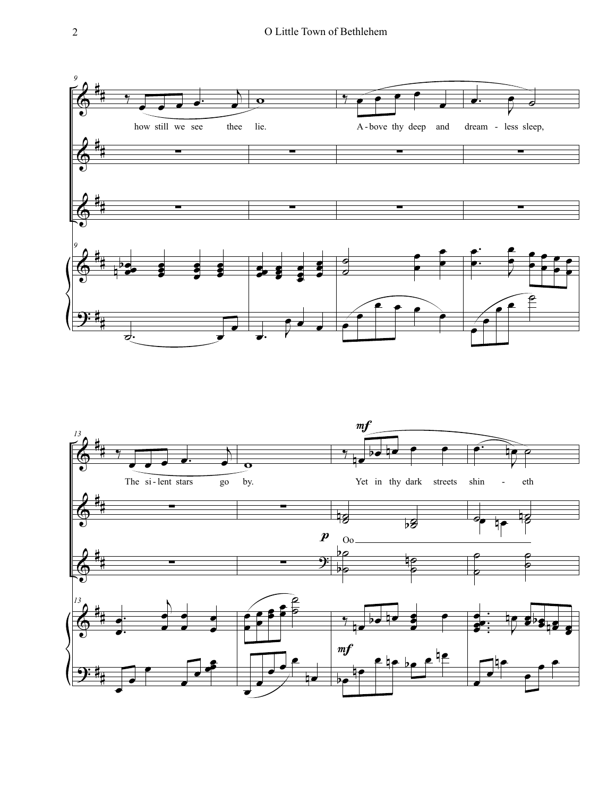